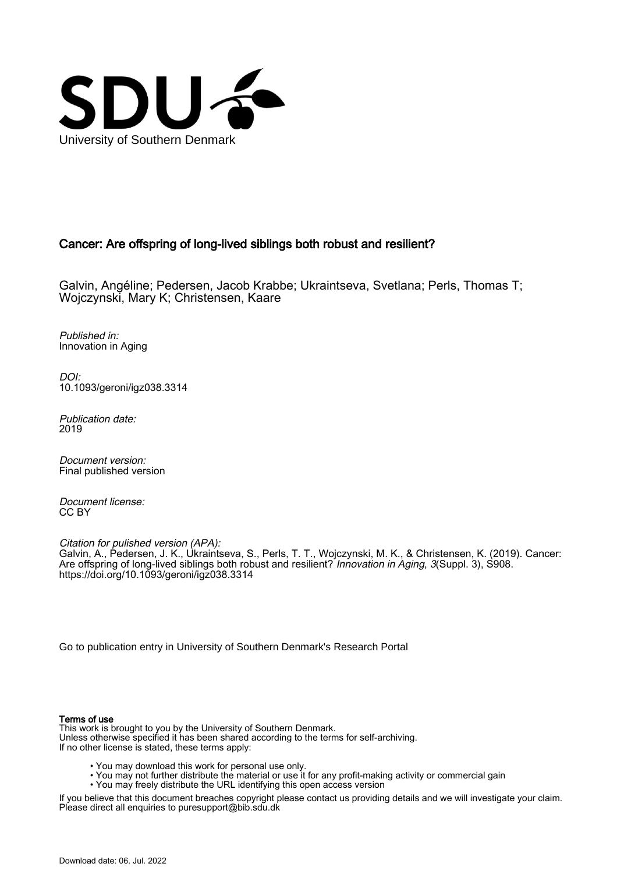

# Cancer: Are offspring of long-lived siblings both robust and resilient?

Galvin, Angéline; Pedersen, Jacob Krabbe; Ukraintseva, Svetlana; Perls, Thomas T; Wojczynski, Mary K; Christensen, Kaare

Published in: Innovation in Aging

DOI: [10.1093/geroni/igz038.3314](https://doi.org/10.1093/geroni/igz038.3314)

Publication date: 2019

Document version: Final published version

Document license: CC BY

Citation for pulished version (APA): Galvin, A., Pedersen, J. K., Ukraintseva, S., Perls, T. T., Wojczynski, M. K., & Christensen, K. (2019). Cancer: Are offspring of long-lived siblings both robust and resilient? *Innovation in Aging, 3(Suppl. 3), S908.* <https://doi.org/10.1093/geroni/igz038.3314>

[Go to publication entry in University of Southern Denmark's Research Portal](https://portal.findresearcher.sdu.dk/en/publications/f5034985-feae-4167-805a-fec60676bc4a)

#### Terms of use

This work is brought to you by the University of Southern Denmark. Unless otherwise specified it has been shared according to the terms for self-archiving. If no other license is stated, these terms apply:

- You may download this work for personal use only.
- You may not further distribute the material or use it for any profit-making activity or commercial gain
- You may freely distribute the URL identifying this open access version

If you believe that this document breaches copyright please contact us providing details and we will investigate your claim. Please direct all enquiries to puresupport@bib.sdu.dk